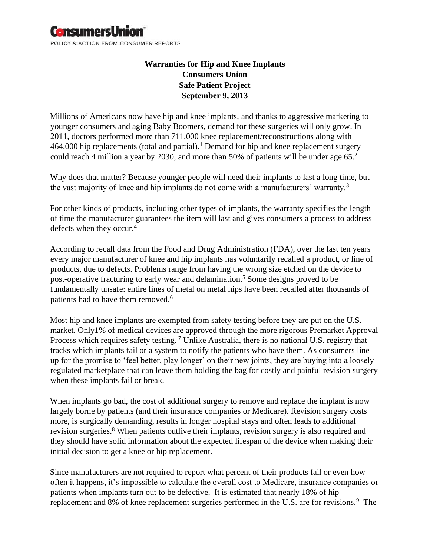# **ConsumersUnion**

POLICY & ACTION FROM CONSUMER REPORTS

## **Warranties for Hip and Knee Implants Consumers Union Safe Patient Project September 9, 2013**

Millions of Americans now have hip and knee implants, and thanks to aggressive marketing to younger consumers and aging Baby Boomers, demand for these surgeries will only grow. In 2011, doctors performed more than 711,000 knee replacement/reconstructions along with 464,000 hip replacements (total and partial).<sup>1</sup> Demand for hip and knee replacement surgery could reach 4 million a year by 2030, and more than 50% of patients will be under age 65.<sup>2</sup>

Why does that matter? Because younger people will need their implants to last a long time, but the vast majority of knee and hip implants do not come with a manufacturers' warranty.<sup>3</sup>

For other kinds of products, including other types of implants, the warranty specifies the length of time the manufacturer guarantees the item will last and gives consumers a process to address defects when they occur.<sup>4</sup>

According to recall data from the Food and Drug Administration (FDA), over the last ten years every major manufacturer of knee and hip implants has voluntarily recalled a product, or line of products, due to defects. Problems range from having the wrong size etched on the device to post-operative fracturing to early wear and delamination.<sup>5</sup> Some designs proved to be fundamentally unsafe: entire lines of metal on metal hips have been recalled after thousands of patients had to have them removed.<sup>6</sup>

Most hip and knee implants are exempted from safety testing before they are put on the U.S. market. Only1% of medical devices are approved through the more rigorous Premarket Approval Process which requires safety testing. <sup>7</sup> Unlike Australia, there is no national U.S. registry that tracks which implants fail or a system to notify the patients who have them. As consumers line up for the promise to 'feel better, play longer' on their new joints, they are buying into a loosely regulated marketplace that can leave them holding the bag for costly and painful revision surgery when these implants fail or break.

When implants go bad, the cost of additional surgery to remove and replace the implant is now largely borne by patients (and their insurance companies or Medicare). Revision surgery costs more, is surgically demanding, results in longer hospital stays and often leads to additional revision surgeries.<sup>8</sup> When patients outlive their implants, revision surgery is also required and they should have solid information about the expected lifespan of the device when making their initial decision to get a knee or hip replacement.

Since manufacturers are not required to report what percent of their products fail or even how often it happens, it's impossible to calculate the overall cost to Medicare, insurance companies or patients when implants turn out to be defective. It is estimated that nearly 18% of hip replacement and 8% of knee replacement surgeries performed in the U.S. are for revisions.<sup>9</sup> The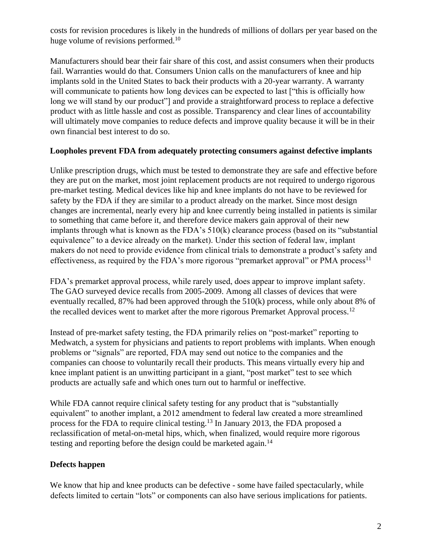costs for revision procedures is likely in the hundreds of millions of dollars per year based on the huge volume of revisions performed.<sup>10</sup>

Manufacturers should bear their fair share of this cost, and assist consumers when their products fail. Warranties would do that. Consumers Union calls on the manufacturers of knee and hip implants sold in the United States to back their products with a 20-year warranty. A warranty will communicate to patients how long devices can be expected to last ["this is officially how long we will stand by our product" and provide a straightforward process to replace a defective product with as little hassle and cost as possible. Transparency and clear lines of accountability will ultimately move companies to reduce defects and improve quality because it will be in their own financial best interest to do so.

### **Loopholes prevent FDA from adequately protecting consumers against defective implants**

Unlike prescription drugs, which must be tested to demonstrate they are safe and effective before they are put on the market, most joint replacement products are not required to undergo rigorous pre-market testing. Medical devices like hip and knee implants do not have to be reviewed for safety by the FDA if they are similar to a product already on the market. Since most design changes are incremental, nearly every hip and knee currently being installed in patients is similar to something that came before it, and therefore device makers gain approval of their new implants through what is known as the FDA's 510(k) clearance process (based on its "substantial equivalence" to a device already on the market). Under this section of federal law, implant makers do not need to provide evidence from clinical trials to demonstrate a product's safety and effectiveness, as required by the FDA's more rigorous "premarket approval" or PMA process<sup>11</sup>

FDA's premarket approval process, while rarely used, does appear to improve implant safety. The GAO surveyed device recalls from 2005-2009. Among all classes of devices that were eventually recalled, 87% had been approved through the 510(k) process, while only about 8% of the recalled devices went to market after the more rigorous Premarket Approval process.<sup>12</sup>

Instead of pre-market safety testing, the FDA primarily relies on "post-market" reporting to Medwatch, a system for physicians and patients to report problems with implants. When enough problems or "signals" are reported, FDA may send out notice to the companies and the companies can choose to voluntarily recall their products. This means virtually every hip and knee implant patient is an unwitting participant in a giant, "post market" test to see which products are actually safe and which ones turn out to harmful or ineffective.

While FDA cannot require clinical safety testing for any product that is "substantially equivalent" to another implant, a 2012 amendment to federal law created a more streamlined process for the FDA to require clinical testing.<sup>13</sup> In January 2013, the FDA proposed a reclassification of metal-on-metal hips, which, when finalized, would require more rigorous testing and reporting before the design could be marketed again.<sup>14</sup>

### **Defects happen**

We know that hip and knee products can be defective - some have failed spectacularly, while defects limited to certain "lots" or components can also have serious implications for patients.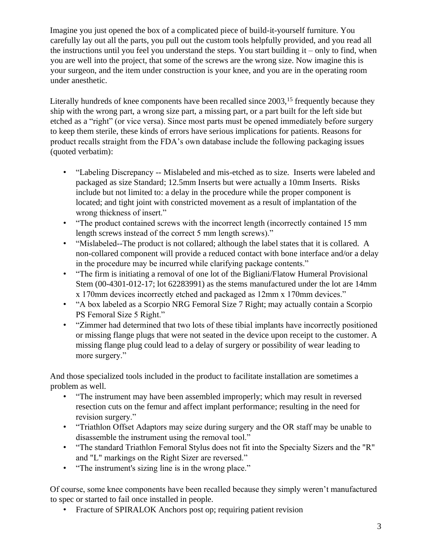Imagine you just opened the box of a complicated piece of build-it-yourself furniture. You carefully lay out all the parts, you pull out the custom tools helpfully provided, and you read all the instructions until you feel you understand the steps. You start building it – only to find, when you are well into the project, that some of the screws are the wrong size. Now imagine this is your surgeon, and the item under construction is your knee, and you are in the operating room under anesthetic.

Literally hundreds of knee components have been recalled since 2003,<sup>15</sup> frequently because they ship with the wrong part, a wrong size part, a missing part, or a part built for the left side but etched as a "right" (or vice versa). Since most parts must be opened immediately before surgery to keep them sterile, these kinds of errors have serious implications for patients. Reasons for product recalls straight from the FDA's own database include the following packaging issues (quoted verbatim):

- "Labeling Discrepancy -- Mislabeled and mis-etched as to size. Inserts were labeled and packaged as size Standard; 12.5mm Inserts but were actually a 10mm Inserts. Risks include but not limited to: a delay in the procedure while the proper component is located; and tight joint with constricted movement as a result of implantation of the wrong thickness of insert."
- "The product contained screws with the incorrect length (incorrectly contained 15 mm) length screws instead of the correct 5 mm length screws)."
- "Mislabeled--The product is not collared; although the label states that it is collared. A non-collared component will provide a reduced contact with bone interface and/or a delay in the procedure may be incurred while clarifying package contents."
- "The firm is initiating a removal of one lot of the Bigliani/Flatow Humeral Provisional Stem (00-4301-012-17; lot 62283991) as the stems manufactured under the lot are 14mm x 170mm devices incorrectly etched and packaged as 12mm x 170mm devices."
- "A box labeled as a Scorpio NRG Femoral Size 7 Right; may actually contain a Scorpio PS Femoral Size 5 Right."
- "Zimmer had determined that two lots of these tibial implants have incorrectly positioned or missing flange plugs that were not seated in the device upon receipt to the customer. A missing flange plug could lead to a delay of surgery or possibility of wear leading to more surgery."

And those specialized tools included in the product to facilitate installation are sometimes a problem as well.

- "The instrument may have been assembled improperly; which may result in reversed resection cuts on the femur and affect implant performance; resulting in the need for revision surgery."
- "Triathlon Offset Adaptors may seize during surgery and the OR staff may be unable to disassemble the instrument using the removal tool."
- "The standard Triathlon Femoral Stylus does not fit into the Specialty Sizers and the "R" and "L" markings on the Right Sizer are reversed."
- "The instrument's sizing line is in the wrong place."

Of course, some knee components have been recalled because they simply weren't manufactured to spec or started to fail once installed in people.

• Fracture of SPIRALOK Anchors post op; requiring patient revision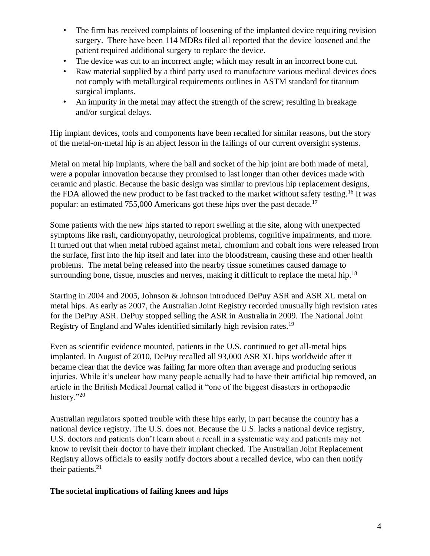- The firm has received complaints of loosening of the implanted device requiring revision surgery. There have been 114 MDRs filed all reported that the device loosened and the patient required additional surgery to replace the device.
- The device was cut to an incorrect angle; which may result in an incorrect bone cut.
- Raw material supplied by a third party used to manufacture various medical devices does not comply with metallurgical requirements outlines in ASTM standard for titanium surgical implants.
- An impurity in the metal may affect the strength of the screw; resulting in breakage and/or surgical delays.

Hip implant devices, tools and components have been recalled for similar reasons, but the story of the metal-on-metal hip is an abject lesson in the failings of our current oversight systems.

Metal on metal hip implants, where the ball and socket of the hip joint are both made of metal, were a popular innovation because they promised to last longer than other devices made with ceramic and plastic. Because the basic design was similar to previous hip replacement designs, the FDA allowed the new product to be fast tracked to the market without safety testing.<sup>16</sup> It was popular: an estimated 755,000 Americans got these hips over the past decade.<sup>17</sup>

Some patients with the new hips started to report swelling at the site, along with unexpected symptoms like rash, cardiomyopathy, neurological problems, cognitive impairments, and more. It turned out that when metal rubbed against metal, chromium and cobalt ions were released from the surface, first into the hip itself and later into the bloodstream, causing these and other health problems. The metal being released into the nearby tissue sometimes caused damage to surrounding bone, tissue, muscles and nerves, making it difficult to replace the metal hip.<sup>18</sup>

Starting in 2004 and 2005, Johnson & Johnson introduced DePuy ASR and ASR XL metal on metal hips. As early as 2007, the Australian Joint Registry recorded unusually high revision rates for the DePuy ASR. DePuy stopped selling the ASR in Australia in 2009. The National Joint Registry of England and Wales identified similarly high revision rates.<sup>19</sup>

Even as scientific evidence mounted, patients in the U.S. continued to get all-metal hips implanted. In August of 2010, DePuy recalled all 93,000 ASR XL hips worldwide after it became clear that the device was failing far more often than average and producing serious injuries. While it's unclear how many people actually had to have their artificial hip removed, an article in the British Medical Journal called it "one of the biggest disasters in orthopaedic history."20

Australian regulators spotted trouble with these hips early, in part because the country has a national device registry. The U.S. does not. Because the U.S. lacks a national device registry, U.S. doctors and patients don't learn about a recall in a systematic way and patients may not know to revisit their doctor to have their implant checked. The Australian Joint Replacement Registry allows officials to easily notify doctors about a recalled device, who can then notify their patients. $21$ 

### **The societal implications of failing knees and hips**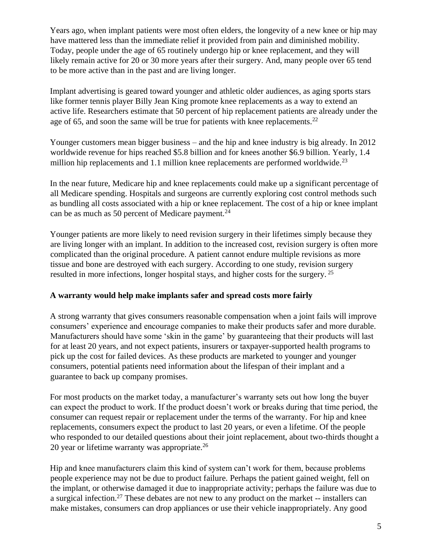Years ago, when implant patients were most often elders, the longevity of a new knee or hip may have mattered less than the immediate relief it provided from pain and diminished mobility. Today, people under the age of 65 routinely undergo hip or knee replacement, and they will likely remain active for 20 or 30 more years after their surgery. And, many people over 65 tend to be more active than in the past and are living longer.

Implant advertising is geared toward younger and athletic older audiences, as aging sports stars like former tennis player Billy Jean King promote knee replacements as a way to extend an active life. Researchers estimate that 50 percent of hip replacement patients are already under the age of 65, and soon the same will be true for patients with knee replacements.<sup>22</sup>

Younger customers mean bigger business – and the hip and knee industry is big already. In 2012 worldwide revenue for hips reached \$5.8 billion and for knees another \$6.9 billion. Yearly, 1.4 million hip replacements and 1.1 million knee replacements are performed worldwide.<sup>23</sup>

In the near future, Medicare hip and knee replacements could make up a significant percentage of all Medicare spending. Hospitals and surgeons are currently exploring cost control methods such as bundling all costs associated with a hip or knee replacement. The cost of a hip or knee implant can be as much as 50 percent of Medicare payment.<sup>24</sup>

Younger patients are more likely to need revision surgery in their lifetimes simply because they are living longer with an implant. In addition to the increased cost, revision surgery is often more complicated than the original procedure. A patient cannot endure multiple revisions as more tissue and bone are destroyed with each surgery. According to one study, revision surgery resulted in more infections, longer hospital stays, and higher costs for the surgery. <sup>25</sup>

### **A warranty would help make implants safer and spread costs more fairly**

A strong warranty that gives consumers reasonable compensation when a joint fails will improve consumers' experience and encourage companies to make their products safer and more durable. Manufacturers should have some 'skin in the game' by guaranteeing that their products will last for at least 20 years, and not expect patients, insurers or taxpayer-supported health programs to pick up the cost for failed devices. As these products are marketed to younger and younger consumers, potential patients need information about the lifespan of their implant and a guarantee to back up company promises.

For most products on the market today, a manufacturer's warranty sets out how long the buyer can expect the product to work. If the product doesn't work or breaks during that time period, the consumer can request repair or replacement under the terms of the warranty. For hip and knee replacements, consumers expect the product to last 20 years, or even a lifetime. Of the people who responded to our detailed questions about their joint replacement, about two-thirds thought a 20 year or lifetime warranty was appropriate.<sup>26</sup>

Hip and knee manufacturers claim this kind of system can't work for them, because problems people experience may not be due to product failure. Perhaps the patient gained weight, fell on the implant, or otherwise damaged it due to inappropriate activity; perhaps the failure was due to a surgical infection.<sup>27</sup> These debates are not new to any product on the market -- installers can make mistakes, consumers can drop appliances or use their vehicle inappropriately. Any good